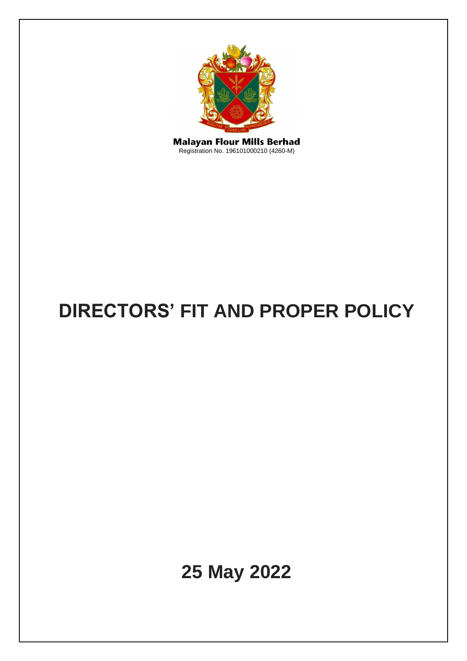

**Malayan Flour Mills Berhad**<br>Registration No. 196101000210 (4260-M)

# **DIRECTORS' FIT AND PROPER POLICY**

**25 May 2022**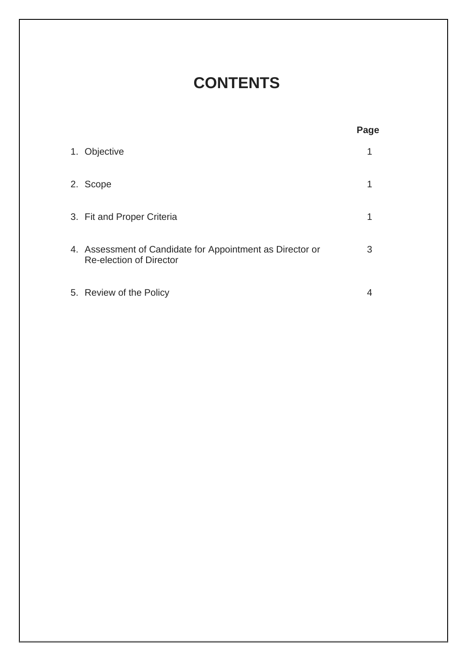# **CONTENTS**

|                                                                                             | Page |
|---------------------------------------------------------------------------------------------|------|
| 1. Objective                                                                                |      |
| 2. Scope                                                                                    |      |
| 3. Fit and Proper Criteria                                                                  |      |
| 4. Assessment of Candidate for Appointment as Director or<br><b>Re-election of Director</b> | 3    |
| 5. Review of the Policy                                                                     |      |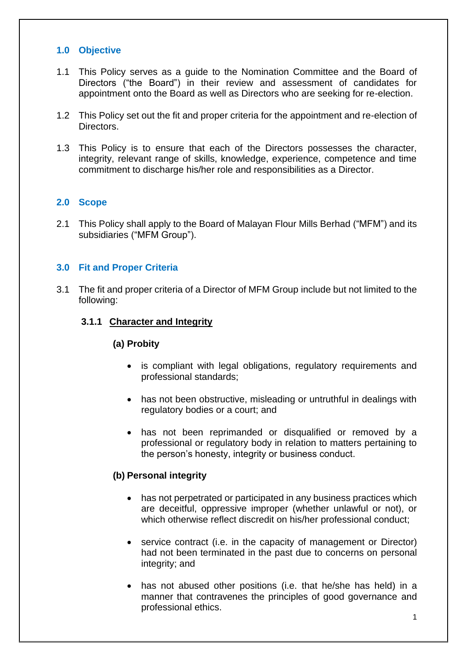### **1.0 Objective**

- 1.1 This Policy serves as a guide to the Nomination Committee and the Board of Directors ("the Board") in their review and assessment of candidates for appointment onto the Board as well as Directors who are seeking for re-election.
- 1.2 This Policy set out the fit and proper criteria for the appointment and re-election of Directors.
- 1.3 This Policy is to ensure that each of the Directors possesses the character, integrity, relevant range of skills, knowledge, experience, competence and time commitment to discharge his/her role and responsibilities as a Director.

#### **2.0 Scope**

2.1 This Policy shall apply to the Board of Malayan Flour Mills Berhad ("MFM") and its subsidiaries ("MFM Group").

#### **3.0 Fit and Proper Criteria**

3.1 The fit and proper criteria of a Director of MFM Group include but not limited to the following:

#### **3.1.1 Character and Integrity**

#### **(a) Probity**

- is compliant with legal obligations, regulatory requirements and professional standards;
- has not been obstructive, misleading or untruthful in dealings with regulatory bodies or a court; and
- has not been reprimanded or disqualified or removed by a professional or regulatory body in relation to matters pertaining to the person's honesty, integrity or business conduct.

#### **(b) Personal integrity**

- has not perpetrated or participated in any business practices which are deceitful, oppressive improper (whether unlawful or not), or which otherwise reflect discredit on his/her professional conduct;
- service contract (i.e. in the capacity of management or Director) had not been terminated in the past due to concerns on personal integrity; and
- has not abused other positions (i.e. that he/she has held) in a manner that contravenes the principles of good governance and professional ethics.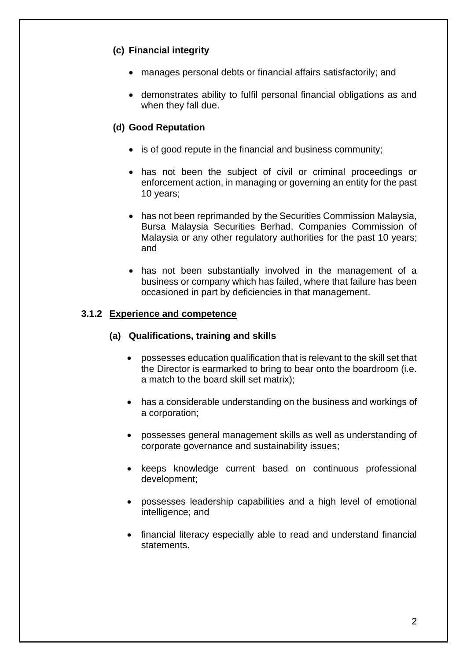# **(c) Financial integrity**

- manages personal debts or financial affairs satisfactorily; and
- demonstrates ability to fulfil personal financial obligations as and when they fall due.

## **(d) Good Reputation**

- is of good repute in the financial and business community;
- has not been the subject of civil or criminal proceedings or enforcement action, in managing or governing an entity for the past 10 years;
- has not been reprimanded by the Securities Commission Malaysia, Bursa Malaysia Securities Berhad, Companies Commission of Malaysia or any other regulatory authorities for the past 10 years; and
- has not been substantially involved in the management of a business or company which has failed, where that failure has been occasioned in part by deficiencies in that management.

#### **3.1.2 Experience and competence**

#### **(a) Qualifications, training and skills**

- possesses education qualification that is relevant to the skill set that the Director is earmarked to bring to bear onto the boardroom (i.e. a match to the board skill set matrix);
- has a considerable understanding on the business and workings of a corporation;
- possesses general management skills as well as understanding of corporate governance and sustainability issues;
- keeps knowledge current based on continuous professional development;
- possesses leadership capabilities and a high level of emotional intelligence; and
- financial literacy especially able to read and understand financial statements.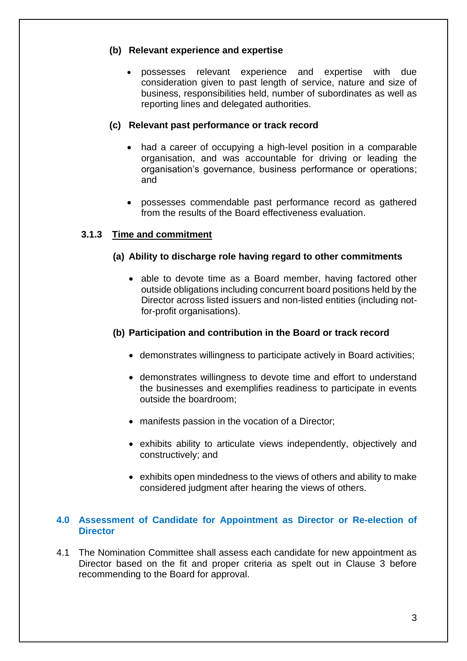#### **(b) Relevant experience and expertise**

• possesses relevant experience and expertise with due consideration given to past length of service, nature and size of business, responsibilities held, number of subordinates as well as reporting lines and delegated authorities.

#### **(c) Relevant past performance or track record**

- had a career of occupying a high-level position in a comparable organisation, and was accountable for driving or leading the organisation's governance, business performance or operations; and
- possesses commendable past performance record as gathered from the results of the Board effectiveness evaluation.

#### **3.1.3 Time and commitment**

#### **(a) Ability to discharge role having regard to other commitments**

• able to devote time as a Board member, having factored other outside obligations including concurrent board positions held by the Director across listed issuers and non-listed entities (including notfor-profit organisations).

#### **(b) Participation and contribution in the Board or track record**

- demonstrates willingness to participate actively in Board activities;
- demonstrates willingness to devote time and effort to understand the businesses and exemplifies readiness to participate in events outside the boardroom;
- manifests passion in the vocation of a Director;
- exhibits ability to articulate views independently, objectively and constructively; and
- exhibits open mindedness to the views of others and ability to make considered judgment after hearing the views of others.

#### **4.0 Assessment of Candidate for Appointment as Director or Re-election of Director**

4.1 The Nomination Committee shall assess each candidate for new appointment as Director based on the fit and proper criteria as spelt out in Clause 3 before recommending to the Board for approval.